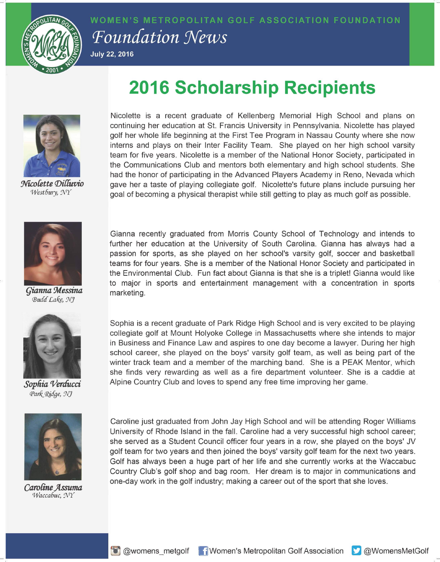

WOMEN'S METROPOLITAN GOLF ASSOCIATION FOUNDATION **Foundation News July 22, 2016** 

**2016 Scholarship Recipients** 



Nicolette Dilluvio Westbury, NY



Gianna Messina Budd Lake, NJ



Sophia Verducci Park Ridge, NJ



Caroline Assuma Waccabuc, NY

Nicolette is a recent graduate of Kellenberg Memorial High School and plans on continuing her education at St. Francis University in Pennsylvania. Nicolette has played golf her whole life beginning at the First Tee Program in Nassau County where she now interns and plays on their Inter Facility Team. She played on her high school varsity team for five years. Nicolette is a member of the National Honor Society, participated in the Communications Club and mentors both elementary and high school students. She had the honor of participating in the Advanced Players Academy in Reno, Nevada which gave her a taste of playing collegiate golf. Nicolette's future plans include pursuing her goal of becoming a physical therapist while still getting to play as much golf as possible.

Gianna recently graduated from Morris County School of Technology and intends to further her education at the University of South Carolina. Gianna has always had a passion for sports, as she played on her school's varsity golf, soccer and basketball teams for four years. She is a member of the National Honor Society and participated in the Environmental Club. Fun fact about Gianna is that she is a triplet! Gianna would like to major in sports and entertainment management with a concentration in sports marketing.

Sophia is a recent graduate of Park Ridge High School and is very excited to be playing collegiate golf at Mount Holyoke College in Massachusetts where she intends to major in Business and Finance Law and aspires to one day become a lawyer. During her high school career, she played on the boys' varsity golf team, as well as being part of the winter track team and a member of the marching band. She is a PEAK Mentor, which she finds very rewarding as well as a fire department volunteer. She is a caddie at Alpine Country Club and loves to spend any free time improving her game.

Caroline just graduated from John Jay High School and will be attending Roger Williams University of Rhode Island in the fall. Caroline had a very successful high school career; she served as a Student Council officer four years in a row, she played on the boys' JV golf team for two years and then joined the boys' varsity golf team for the next two years. Golf has always been a huge part of her life and she currently works at the Waccabuc Country Club's golf shop and bag room. Her dream is to major in communications and one-day work in the golf industry; making a career out of the sport that she loves.